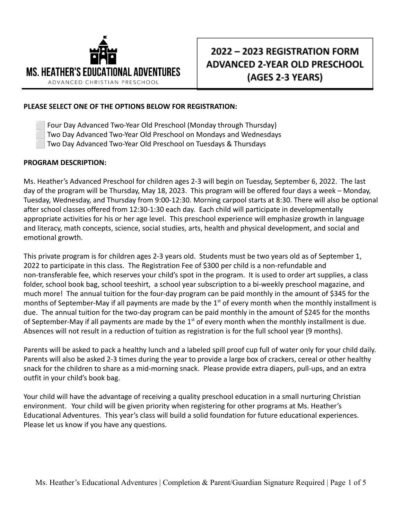

## 2022 - 2023 REGISTRATION FORM **ADVANCED 2-YEAR OLD PRESCHOOL** (AGES 2-3 YEARS)

## **PLEASE SELECT ONE OF THE OPTIONS BELOW FOR REGISTRATION:**

⬜ Four Day Advanced Two-Year Old Preschool (Monday through Thursday) ⬜ Two Day Advanced Two-Year Old Preschool on Mondays and Wednesdays ⬜ Two Day Advanced Two-Year Old Preschool on Tuesdays & Thursdays

## **PROGRAM DESCRIPTION:**

Ms. Heather's Advanced Preschool for children ages 2-3 will begin on Tuesday, September 6, 2022. The last day of the program will be Thursday, May 18, 2023. This program will be offered four days a week – Monday, Tuesday, Wednesday, and Thursday from 9:00-12:30. Morning carpool starts at 8:30. There will also be optional after school classes offered from 12:30-1:30 each day. Each child will participate in developmentally appropriate activities for his or her age level. This preschool experience will emphasize growth in language and literacy, math concepts, science, social studies, arts, health and physical development, and social and emotional growth.

This private program is for children ages 2-3 years old. Students must be two years old as of September 1, 2022 to participate in this class. The Registration Fee of \$300 per child is a non-refundable and non-transferable fee, which reserves your child's spot in the program. It is used to order art supplies, a class folder, school book bag, school teeshirt, a school year subscription to a bi-weekly preschool magazine, and much more! The annual tuition for the four-day program can be paid monthly in the amount of \$345 for the months of September-May if all payments are made by the  $1<sup>st</sup>$  of every month when the monthly installment is due. The annual tuition for the two-day program can be paid monthly in the amount of \$245 for the months of September-May if all payments are made by the  $1<sup>st</sup>$  of every month when the monthly installment is due. Absences will not result in a reduction of tuition as registration is for the full school year (9 months).

Parents will be asked to pack a healthy lunch and a labeled spill proof cup full of water only for your child daily. Parents will also be asked 2-3 times during the year to provide a large box of crackers, cereal or other healthy snack for the children to share as a mid-morning snack. Please provide extra diapers, pull-ups, and an extra outfit in your child's book bag.

Your child will have the advantage of receiving a quality preschool education in a small nurturing Christian environment. Your child will be given priority when registering for other programs at Ms. Heather's Educational Adventures. This year's class will build a solid foundation for future educational experiences. Please let us know if you have any questions.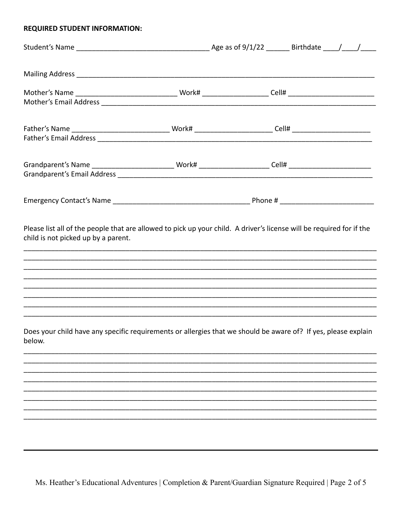## **REQUIRED STUDENT INFORMATION:**

| Please list all of the people that are allowed to pick up your child. A driver's license will be required for if the<br>child is not picked up by a parent. |  |  |  |
|-------------------------------------------------------------------------------------------------------------------------------------------------------------|--|--|--|
| Does your child have any specific requirements or allergies that we should be aware of? If yes, please explain<br>below.                                    |  |  |  |
|                                                                                                                                                             |  |  |  |
|                                                                                                                                                             |  |  |  |
|                                                                                                                                                             |  |  |  |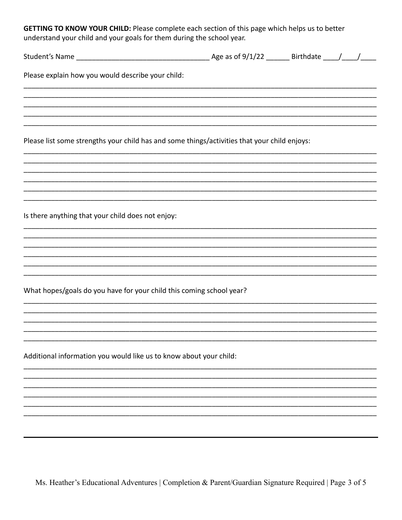GETTING TO KNOW YOUR CHILD: Please complete each section of this page which helps us to better understand your child and your goals for them during the school year.

| Please explain how you would describe your child:                                            |  |  |
|----------------------------------------------------------------------------------------------|--|--|
|                                                                                              |  |  |
|                                                                                              |  |  |
| Please list some strengths your child has and some things/activities that your child enjoys: |  |  |
|                                                                                              |  |  |
|                                                                                              |  |  |
| Is there anything that your child does not enjoy:                                            |  |  |
|                                                                                              |  |  |
|                                                                                              |  |  |
| What hopes/goals do you have for your child this coming school year?                         |  |  |
|                                                                                              |  |  |
|                                                                                              |  |  |
| Additional information you would like us to know about your child:                           |  |  |
|                                                                                              |  |  |
|                                                                                              |  |  |
|                                                                                              |  |  |
|                                                                                              |  |  |
|                                                                                              |  |  |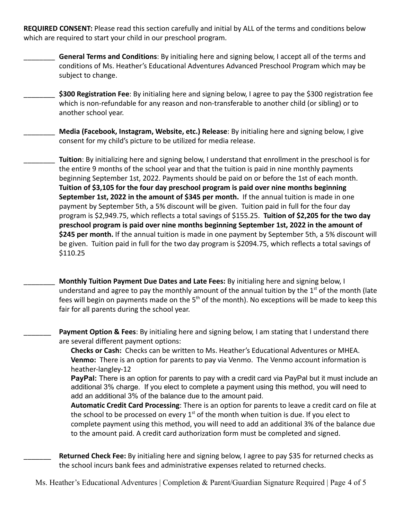**REQUIRED CONSENT:** Please read this section carefully and initial by ALL of the terms and conditions below which are required to start your child in our preschool program.

\_\_\_\_\_\_\_\_ **General Terms and Conditions**: By initialing here and signing below, I accept all of the terms and conditions of Ms. Heather's Educational Adventures Advanced Preschool Program which may be subject to change.

\$300 Registration Fee: By initialing here and signing below, I agree to pay the \$300 registration fee which is non-refundable for any reason and non-transferable to another child (or sibling) or to another school year.

\_\_\_\_\_\_\_\_ **Media (Facebook, Instagram, Website, etc.) Release**: By initialing here and signing below, I give consent for my child's picture to be utilized for media release.

\_\_\_\_\_\_\_\_ **Tuition**: By initializing here and signing below, I understand that enrollment in the preschool is for the entire 9 months of the school year and that the tuition is paid in nine monthly payments beginning September 1st, 2022. Payments should be paid on or before the 1st of each month. **Tuition of \$3,105 for the four day preschool program is paid over nine months beginning September 1st, 2022 in the amount of \$345 per month.** If the annual tuition is made in one payment by September 5th, a 5% discount will be given. Tuition paid in full for the four day program is \$2,949.75, which reflects a total savings of \$155.25. **Tuition of \$2,205 for the two day preschool program is paid over nine months beginning September 1st, 2022 in the amount of \$245 per month.** If the annual tuition is made in one payment by September 5th, a 5% discount will be given. Tuition paid in full for the two day program is \$2094.75, which reflects a total savings of \$110.25

\_\_\_\_\_\_\_\_ **Monthly Tuition Payment Due Dates and Late Fees:** By initialing here and signing below, I understand and agree to pay the monthly amount of the annual tuition by the  $1<sup>st</sup>$  of the month (late fees will begin on payments made on the  $5<sup>th</sup>$  of the month). No exceptions will be made to keep this fair for all parents during the school year.

Payment Option & Fees: By initialing here and signing below, I am stating that I understand there are several different payment options:

**Checks or Cash:** Checks can be written to Ms. Heather's Educational Adventures or MHEA. **Venmo:** There is an option for parents to pay via Venmo. The Venmo account information is heather-langley-12

**PayPal:** There is an option for parents to pay with a credit card via PayPal but it must include an additional 3% charge. If you elect to complete a payment using this method, you will need to add an additional 3% of the balance due to the amount paid.

**Automatic Credit Card Processing**: There is an option for parents to leave a credit card on file at the school to be processed on every  $1<sup>st</sup>$  of the month when tuition is due. If you elect to complete payment using this method, you will need to add an additional 3% of the balance due to the amount paid. A credit card authorization form must be completed and signed.

Returned Check Fee: By initialing here and signing below, I agree to pay \$35 for returned checks as the school incurs bank fees and administrative expenses related to returned checks.

Ms. Heather's Educational Adventures | Completion & Parent/Guardian Signature Required | Page 4 of 5